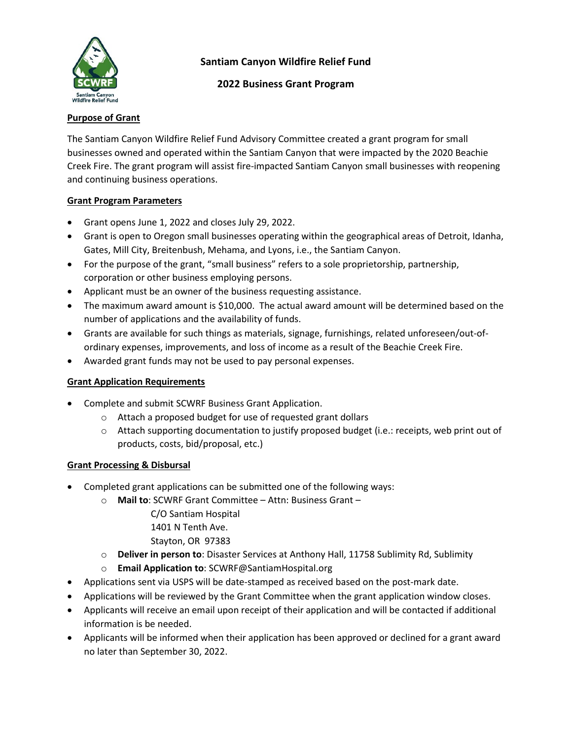

## **2022 Business Grant Program**

## **Purpose of Grant**

The Santiam Canyon Wildfire Relief Fund Advisory Committee created a grant program for small businesses owned and operated within the Santiam Canyon that were impacted by the 2020 Beachie Creek Fire. The grant program will assist fire-impacted Santiam Canyon small businesses with reopening and continuing business operations.

## **Grant Program Parameters**

- Grant opens June 1, 2022 and closes July 29, 2022.
- Grant is open to Oregon small businesses operating within the geographical areas of Detroit, Idanha, Gates, Mill City, Breitenbush, Mehama, and Lyons, i.e., the Santiam Canyon.
- For the purpose of the grant, "small business" refers to a sole proprietorship, partnership, corporation or other business employing persons.
- Applicant must be an owner of the business requesting assistance.
- The maximum award amount is \$10,000. The actual award amount will be determined based on the number of applications and the availability of funds.
- Grants are available for such things as materials, signage, furnishings, related unforeseen/out-ofordinary expenses, improvements, and loss of income as a result of the Beachie Creek Fire.
- Awarded grant funds may not be used to pay personal expenses.

#### **Grant Application Requirements**

- Complete and submit SCWRF Business Grant Application.
	- o Attach a proposed budget for use of requested grant dollars
	- $\circ$  Attach supporting documentation to justify proposed budget (i.e.: receipts, web print out of products, costs, bid/proposal, etc.)

#### **Grant Processing & Disbursal**

- Completed grant applications can be submitted one of the following ways:
	- o **Mail to**: SCWRF Grant Committee Attn: Business Grant
		- C/O Santiam Hospital
		- 1401 N Tenth Ave.
		- Stayton, OR 97383
	- o **Deliver in person to**: Disaster Services at Anthony Hall, 11758 Sublimity Rd, Sublimity
	- o **Email Application to**: SCWRF@SantiamHospital.org
- Applications sent via USPS will be date-stamped as received based on the post-mark date.
- Applications will be reviewed by the Grant Committee when the grant application window closes.
- Applicants will receive an email upon receipt of their application and will be contacted if additional information is be needed.
- Applicants will be informed when their application has been approved or declined for a grant award no later than September 30, 2022.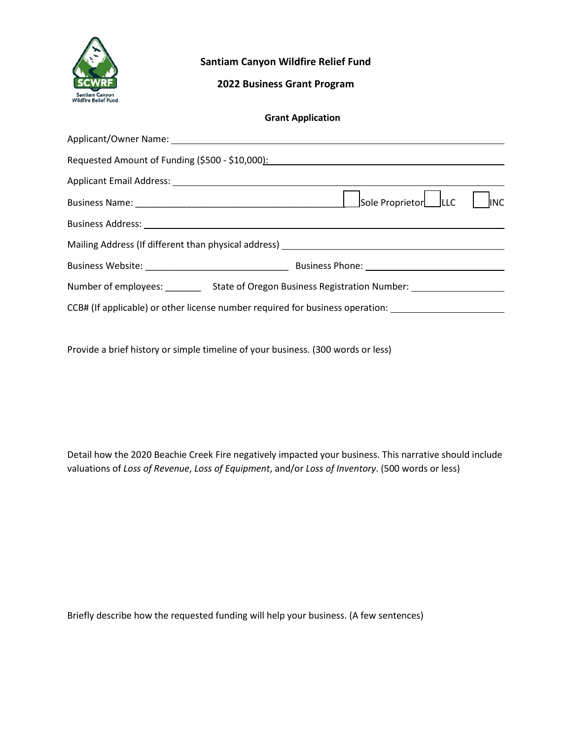

# **2022 Business Grant Program**

|  |  | <b>Grant Application</b> |
|--|--|--------------------------|
|--|--|--------------------------|

|                                                                                                                | Requested Amount of Funding (\$500 - \$10,000): Management Control of Theorem 2011                  |  |  |
|----------------------------------------------------------------------------------------------------------------|-----------------------------------------------------------------------------------------------------|--|--|
|                                                                                                                |                                                                                                     |  |  |
|                                                                                                                | Sole Proprietor LLC<br><b>INC</b>                                                                   |  |  |
| Business Address: National Assembly and the Contract of the Contract of the Contract of the Contract of the Co |                                                                                                     |  |  |
|                                                                                                                | Mailing Address (If different than physical address) ___________________________                    |  |  |
|                                                                                                                |                                                                                                     |  |  |
|                                                                                                                | Number of employees: ____________ State of Oregon Business Registration Number: ___________________ |  |  |
|                                                                                                                | CCB# (If applicable) or other license number required for business operation: _____________________ |  |  |

Provide a brief history or simple timeline of your business. (300 words or less)

Detail how the 2020 Beachie Creek Fire negatively impacted your business. This narrative should include valuations of *Loss of Revenue*, *Loss of Equipment*, and/or *Loss of Inventory*. (500 words or less)

Briefly describe how the requested funding will help your business. (A few sentences)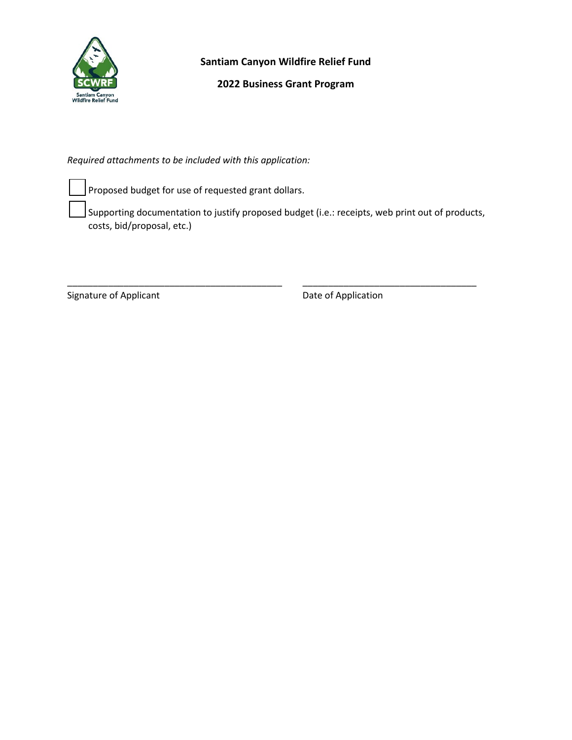

# **2022 Business Grant Program**

*Required attachments to be included with this application:*

Proposed budget for use of requested grant dollars.

 Supporting documentation to justify proposed budget (i.e.: receipts, web print out of products, costs, bid/proposal, etc.)

\_\_\_\_\_\_\_\_\_\_\_\_\_\_\_\_\_\_\_\_\_\_\_\_\_\_\_\_\_\_\_\_\_\_\_\_\_\_\_\_\_\_ \_\_\_\_\_\_\_\_\_\_\_\_\_\_\_\_\_\_\_\_\_\_\_\_\_\_\_\_\_\_\_\_\_\_

Signature of Applicant **Date of Application**